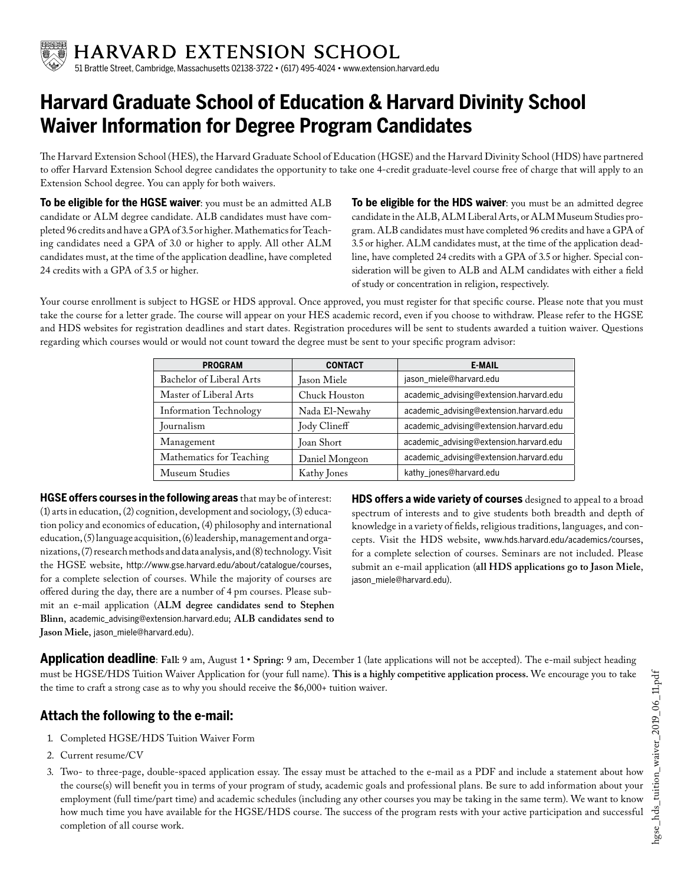

HARVARD EXTENSION SCHOOL

51 Brattle Street, Cambridge, Massachusetts 02138-3722 • (617) 495-4024 • www.extension.harvard.edu

### **Harvard Graduate School of Education & Harvard Divinity School Waiver Information for Degree Program Candidates**

The Harvard Extension School (HES), the Harvard Graduate School of Education (HGSE) and the Harvard Divinity School (HDS) have partnered to offer Harvard Extension School degree candidates the opportunity to take one 4-credit graduate-level course free of charge that will apply to an Extension School degree. You can apply for both waivers.

**To be eligible for the HGSE waiver**: you must be an admitted ALB candidate or ALM degree candidate. ALB candidates must have completed 96 credits and have a GPA of 3.5 or higher. Mathematics for Teaching candidates need a GPA of 3.0 or higher to apply. All other ALM candidates must, at the time of the application deadline, have completed 24 credits with a GPA of 3.5 or higher.

**To be eligible for the HDS waiver**: you must be an admitted degree candidate in the ALB, ALM Liberal Arts, or ALM Museum Studies program. ALB candidates must have completed 96 credits and have a GPA of 3.5 or higher. ALM candidates must, at the time of the application deadline, have completed 24 credits with a GPA of 3.5 or higher. Special consideration will be given to ALB and ALM candidates with either a field of study or concentration in religion, respectively.

Your course enrollment is subject to HGSE or HDS approval. Once approved, you must register for that specific course. Please note that you must take the course for a letter grade. The course will appear on your HES academic record, even if you choose to withdraw. Please refer to the HGSE and HDS websites for registration deadlines and start dates. Registration procedures will be sent to students awarded a tuition waiver. Questions regarding which courses would or would not count toward the degree must be sent to your specific program advisor:

| <b>PROGRAM</b><br><b>CONTACT</b> |                | <b>E-MAIL</b>                           |  |
|----------------------------------|----------------|-----------------------------------------|--|
| Bachelor of Liberal Arts         | Jason Miele    | jason_miele@harvard.edu                 |  |
| Master of Liberal Arts           | Chuck Houston  | academic_advising@extension.harvard.edu |  |
| <b>Information Technology</b>    | Nada El-Newahy | academic_advising@extension.harvard.edu |  |
| Journalism                       | Jody Clineff   | academic_advising@extension.harvard.edu |  |
| Management                       | Joan Short     | academic_advising@extension.harvard.edu |  |
| Mathematics for Teaching         | Daniel Mongeon | academic_advising@extension.harvard.edu |  |
| Museum Studies                   | Kathy Jones    | kathy jones@harvard.edu                 |  |

**HGSE offers courses in the following areas** that may be of interest: (1) arts in education, (2) cognition, development and sociology, (3) education policy and economics of education, (4) philosophy and international education, (5) language acquisition, (6) leadership, management and organizations, (7) research methods and data analysis, and (8) technology. Visit the HGSE website, <http://www.gse.harvard.edu/about/catalogue/courses>, for a complete selection of courses. While the majority of courses are offered during the day, there are a number of 4 pm courses. Please submit an e-mail application (**ALM degree candidates send to Stephen Blinn**, academic\_advising@extension.harvard.edu; **ALB candidates send to Jason Miele**, jason\_miele@harvard.edu).

**HDS offers a wide variety of courses** designed to appeal to a broad spectrum of interests and to give students both breadth and depth of knowledge in a variety of fields, religious traditions, languages, and concepts. Visit the HDS website, <www.hds.harvard.edu/academics/courses>, for a complete selection of courses. Seminars are not included. Please submit an e-mail application (**all HDS applications go to Jason Miele**, jason\_miele@harvard.edu).

**Application deadline**: **Fall:** 9 am, August 1 • **Spring:** 9 am, December 1 (late applications will not be accepted). The e-mail subject heading must be HGSE/HDS Tuition Waiver Application for (your full name). **This is a highly competitive application process.** We encourage you to take the time to craft a strong case as to why you should receive the \$6,000+ tuition waiver.

### **Attach the following to the e-mail:**

- 1. Completed HGSE/HDS Tuition Waiver Form
- 2. Current resume/CV
- 3. Two- to three-page, double-spaced application essay. The essay must be attached to the e-mail as a PDF and include a statement about how the course(s) will benefit you in terms of your program of study, academic goals and professional plans. Be sure to add information about your employment (full time/part time) and academic schedules (including any other courses you may be taking in the same term). We want to know how much time you have available for the HGSE/HDS course. The success of the program rests with your active participation and successful completion of all course work.